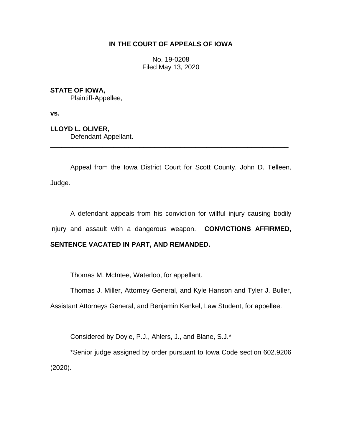## **IN THE COURT OF APPEALS OF IOWA**

No. 19-0208 Filed May 13, 2020

**STATE OF IOWA,**

Plaintiff-Appellee,

**vs.**

**LLOYD L. OLIVER,** Defendant-Appellant.

Appeal from the Iowa District Court for Scott County, John D. Telleen, Judge.

\_\_\_\_\_\_\_\_\_\_\_\_\_\_\_\_\_\_\_\_\_\_\_\_\_\_\_\_\_\_\_\_\_\_\_\_\_\_\_\_\_\_\_\_\_\_\_\_\_\_\_\_\_\_\_\_\_\_\_\_\_\_\_\_

A defendant appeals from his conviction for willful injury causing bodily injury and assault with a dangerous weapon. **CONVICTIONS AFFIRMED,**

# **SENTENCE VACATED IN PART, AND REMANDED.**

Thomas M. McIntee, Waterloo, for appellant.

Thomas J. Miller, Attorney General, and Kyle Hanson and Tyler J. Buller,

Assistant Attorneys General, and Benjamin Kenkel, Law Student, for appellee.

Considered by Doyle, P.J., Ahlers, J., and Blane, S.J.\*

\*Senior judge assigned by order pursuant to Iowa Code section 602.9206 (2020).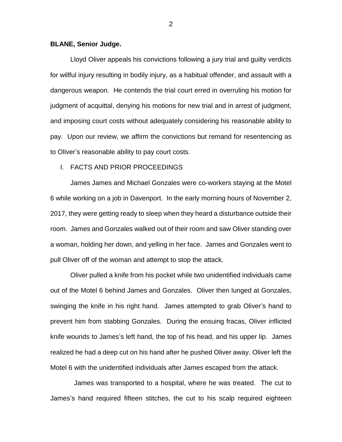### **BLANE, Senior Judge.**

Lloyd Oliver appeals his convictions following a jury trial and guilty verdicts for willful injury resulting in bodily injury, as a habitual offender, and assault with a dangerous weapon. He contends the trial court erred in overruling his motion for judgment of acquittal, denying his motions for new trial and in arrest of judgment, and imposing court costs without adequately considering his reasonable ability to pay. Upon our review, we affirm the convictions but remand for resentencing as to Oliver's reasonable ability to pay court costs.

## I. FACTS AND PRIOR PROCEEDINGS

James James and Michael Gonzales were co-workers staying at the Motel 6 while working on a job in Davenport. In the early morning hours of November 2, 2017, they were getting ready to sleep when they heard a disturbance outside their room. James and Gonzales walked out of their room and saw Oliver standing over a woman, holding her down, and yelling in her face. James and Gonzales went to pull Oliver off of the woman and attempt to stop the attack.

Oliver pulled a knife from his pocket while two unidentified individuals came out of the Motel 6 behind James and Gonzales. Oliver then lunged at Gonzales, swinging the knife in his right hand. James attempted to grab Oliver's hand to prevent him from stabbing Gonzales. During the ensuing fracas, Oliver inflicted knife wounds to James's left hand, the top of his head, and his upper lip. James realized he had a deep cut on his hand after he pushed Oliver away. Oliver left the Motel 6 with the unidentified individuals after James escaped from the attack.

James was transported to a hospital, where he was treated. The cut to James's hand required fifteen stitches, the cut to his scalp required eighteen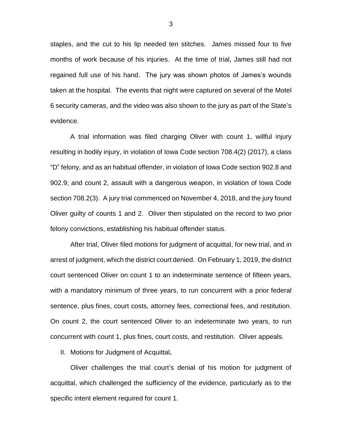staples, and the cut to his lip needed ten stitches. James missed four to five months of work because of his injuries. At the time of trial, James still had not regained full use of his hand. The jury was shown photos of James's wounds taken at the hospital. The events that night were captured on several of the Motel 6 security cameras, and the video was also shown to the jury as part of the State's evidence.

A trial information was filed charging Oliver with count 1, willful injury resulting in bodily injury, in violation of Iowa Code section 708.4(2) (2017), a class "D" felony, and as an habitual offender, in violation of Iowa Code section 902.8 and 902.9; and count 2, assault with a dangerous weapon, in violation of Iowa Code section 708.2(3). A jury trial commenced on November 4, 2018, and the jury found Oliver guilty of counts 1 and 2. Oliver then stipulated on the record to two prior felony convictions, establishing his habitual offender status.

After trial, Oliver filed motions for judgment of acquittal, for new trial, and in arrest of judgment, which the district court denied. On February 1, 2019, the district court sentenced Oliver on count 1 to an indeterminate sentence of fifteen years, with a mandatory minimum of three years, to run concurrent with a prior federal sentence, plus fines, court costs, attorney fees, correctional fees, and restitution. On count 2, the court sentenced Oliver to an indeterminate two years, to run concurrent with count 1, plus fines, court costs, and restitution. Oliver appeals.

II. Motions for Judgment of Acquittal**.**

Oliver challenges the trial court's denial of his motion for judgment of acquittal, which challenged the sufficiency of the evidence, particularly as to the specific intent element required for count 1.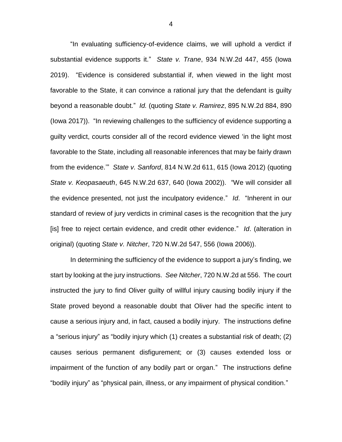"In evaluating sufficiency-of-evidence claims, we will uphold a verdict if substantial evidence supports it." *State v. Trane*, 934 N.W.2d 447, 455 (Iowa 2019). "Evidence is considered substantial if, when viewed in the light most favorable to the State, it can convince a rational jury that the defendant is guilty beyond a reasonable doubt." *Id.* (quoting *State v. Ramirez*, 895 N.W.2d 884, 890 (Iowa 2017)). "In reviewing challenges to the sufficiency of evidence supporting a guilty verdict, courts consider all of the record evidence viewed 'in the light most favorable to the State, including all reasonable inferences that may be fairly drawn from the evidence.'" *State v. Sanford*, 814 N.W.2d 611, 615 (Iowa 2012) (quoting *State v. Keopasaeuth*, 645 N.W.2d 637, 640 (Iowa 2002)). "We will consider all the evidence presented, not just the inculpatory evidence." *Id*. "Inherent in our standard of review of jury verdicts in criminal cases is the recognition that the jury [is] free to reject certain evidence, and credit other evidence." *Id*. (alteration in original) (quoting *State v. Nitcher*, 720 N.W.2d 547, 556 (Iowa 2006)).

In determining the sufficiency of the evidence to support a jury's finding, we start by looking at the jury instructions. *See Nitcher*, 720 N.W.2d at 556. The court instructed the jury to find Oliver guilty of willful injury causing bodily injury if the State proved beyond a reasonable doubt that Oliver had the specific intent to cause a serious injury and, in fact, caused a bodily injury. The instructions define a "serious injury" as "bodily injury which (1) creates a substantial risk of death; (2) causes serious permanent disfigurement; or (3) causes extended loss or impairment of the function of any bodily part or organ." The instructions define "bodily injury" as "physical pain, illness, or any impairment of physical condition."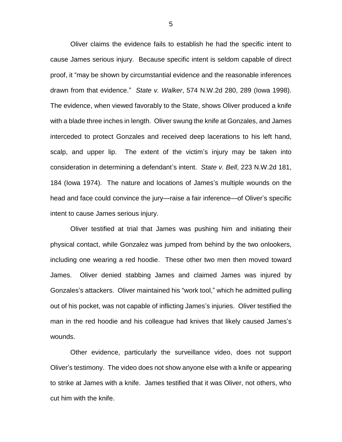Oliver claims the evidence fails to establish he had the specific intent to cause James serious injury. Because specific intent is seldom capable of direct proof, it "may be shown by circumstantial evidence and the reasonable inferences drawn from that evidence." *State v. Walker*, 574 N.W.2d 280, 289 (Iowa 1998). The evidence, when viewed favorably to the State, shows Oliver produced a knife with a blade three inches in length. Oliver swung the knife at Gonzales, and James interceded to protect Gonzales and received deep lacerations to his left hand, scalp, and upper lip. The extent of the victim's injury may be taken into consideration in determining a defendant's intent. *State v. Bell*, 223 N.W.2d 181, 184 (Iowa 1974). The nature and locations of James's multiple wounds on the head and face could convince the jury—raise a fair inference—of Oliver's specific intent to cause James serious injury.

Oliver testified at trial that James was pushing him and initiating their physical contact, while Gonzalez was jumped from behind by the two onlookers, including one wearing a red hoodie. These other two men then moved toward James. Oliver denied stabbing James and claimed James was injured by Gonzales's attackers. Oliver maintained his "work tool," which he admitted pulling out of his pocket, was not capable of inflicting James's injuries. Oliver testified the man in the red hoodie and his colleague had knives that likely caused James's wounds.

Other evidence, particularly the surveillance video, does not support Oliver's testimony. The video does not show anyone else with a knife or appearing to strike at James with a knife. James testified that it was Oliver, not others, who cut him with the knife.

5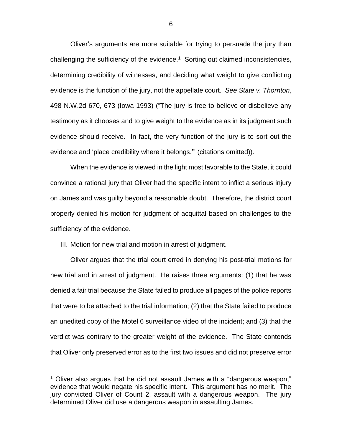Oliver's arguments are more suitable for trying to persuade the jury than challenging the sufficiency of the evidence. $1$  Sorting out claimed inconsistencies, determining credibility of witnesses, and deciding what weight to give conflicting evidence is the function of the jury, not the appellate court. *See State v. Thornton*, 498 N.W.2d 670, 673 (Iowa 1993) ("The jury is free to believe or disbelieve any testimony as it chooses and to give weight to the evidence as in its judgment such evidence should receive. In fact, the very function of the jury is to sort out the evidence and 'place credibility where it belongs.'" (citations omitted)).

When the evidence is viewed in the light most favorable to the State, it could convince a rational jury that Oliver had the specific intent to inflict a serious injury on James and was guilty beyond a reasonable doubt. Therefore, the district court properly denied his motion for judgment of acquittal based on challenges to the sufficiency of the evidence.

III. Motion for new trial and motion in arrest of judgment.

 $\overline{a}$ 

Oliver argues that the trial court erred in denying his post-trial motions for new trial and in arrest of judgment. He raises three arguments: (1) that he was denied a fair trial because the State failed to produce all pages of the police reports that were to be attached to the trial information; (2) that the State failed to produce an unedited copy of the Motel 6 surveillance video of the incident; and (3) that the verdict was contrary to the greater weight of the evidence. The State contends that Oliver only preserved error as to the first two issues and did not preserve error

 $1$  Oliver also argues that he did not assault James with a "dangerous weapon," evidence that would negate his specific intent. This argument has no merit. The jury convicted Oliver of Count 2, assault with a dangerous weapon. The jury determined Oliver did use a dangerous weapon in assaulting James.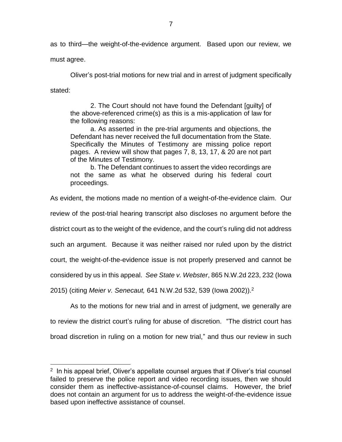as to third—the weight-of-the-evidence argument. Based upon our review, we

must agree.

 $\overline{a}$ 

Oliver's post-trial motions for new trial and in arrest of judgment specifically stated:

2. The Court should not have found the Defendant [guilty] of the above-referenced crime(s) as this is a mis-application of law for the following reasons:

a. As asserted in the pre-trial arguments and objections, the Defendant has never received the full documentation from the State. Specifically the Minutes of Testimony are missing police report pages. A review will show that pages 7, 8, 13, 17, & 20 are not part of the Minutes of Testimony.

b. The Defendant continues to assert the video recordings are not the same as what he observed during his federal court proceedings.

As evident, the motions made no mention of a weight-of-the-evidence claim. Our

review of the post-trial hearing transcript also discloses no argument before the

district court as to the weight of the evidence, and the court's ruling did not address

such an argument. Because it was neither raised nor ruled upon by the district

court, the weight-of-the-evidence issue is not properly preserved and cannot be

considered by us in this appeal. *See State v. Webster*, 865 N.W.2d 223, 232 (Iowa

2015) (citing *Meier v. Senecaut,* 641 N.W.2d 532, 539 (Iowa 2002)). 2

As to the motions for new trial and in arrest of judgment, we generally are to review the district court's ruling for abuse of discretion. "The district court has broad discretion in ruling on a motion for new trial," and thus our review in such

<sup>&</sup>lt;sup>2</sup> In his appeal brief, Oliver's appellate counsel argues that if Oliver's trial counsel failed to preserve the police report and video recording issues, then we should consider them as ineffective-assistance-of-counsel claims. However, the brief does not contain an argument for us to address the weight-of-the-evidence issue based upon ineffective assistance of counsel.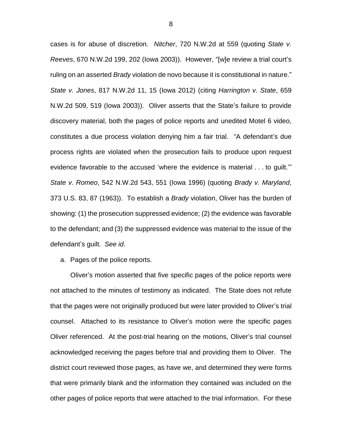cases is for abuse of discretion. *Nitcher*, 720 N.W.2d at 559 (quoting *State v. Reeves*, 670 N.W.2d 199, 202 (Iowa 2003)). However, "[w]e review a trial court's ruling on an asserted *Brady* violation de novo because it is constitutional in nature." *State v. Jones*, 817 N.W.2d 11, 15 (Iowa 2012) (citing *Harrington v. State*, 659 N.W.2d 509, 519 (Iowa 2003)). Oliver asserts that the State's failure to provide discovery material, both the pages of police reports and unedited Motel 6 video, constitutes a due process violation denying him a fair trial. "A defendant's due process rights are violated when the prosecution fails to produce upon request evidence favorable to the accused 'where the evidence is material . . . to guilt.'" *State v. Romeo*, 542 N.W.2d 543, 551 (Iowa 1996) (quoting *Brady v. Maryland*, 373 U.S. 83, 87 (1963)). To establish a *Brady* violation, Oliver has the burden of showing: (1) the prosecution suppressed evidence; (2) the evidence was favorable to the defendant; and (3) the suppressed evidence was material to the issue of the defendant's guilt. *See id.*

a. Pages of the police reports.

Oliver's motion asserted that five specific pages of the police reports were not attached to the minutes of testimony as indicated. The State does not refute that the pages were not originally produced but were later provided to Oliver's trial counsel. Attached to its resistance to Oliver's motion were the specific pages Oliver referenced. At the post-trial hearing on the motions, Oliver's trial counsel acknowledged receiving the pages before trial and providing them to Oliver. The district court reviewed those pages, as have we, and determined they were forms that were primarily blank and the information they contained was included on the other pages of police reports that were attached to the trial information. For these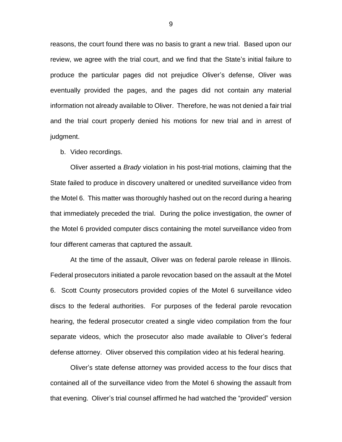reasons, the court found there was no basis to grant a new trial. Based upon our review, we agree with the trial court, and we find that the State's initial failure to produce the particular pages did not prejudice Oliver's defense, Oliver was eventually provided the pages, and the pages did not contain any material information not already available to Oliver. Therefore, he was not denied a fair trial and the trial court properly denied his motions for new trial and in arrest of judgment.

#### b. Video recordings.

Oliver asserted a *Brady* violation in his post-trial motions, claiming that the State failed to produce in discovery unaltered or unedited surveillance video from the Motel 6. This matter was thoroughly hashed out on the record during a hearing that immediately preceded the trial. During the police investigation, the owner of the Motel 6 provided computer discs containing the motel surveillance video from four different cameras that captured the assault.

At the time of the assault, Oliver was on federal parole release in Illinois. Federal prosecutors initiated a parole revocation based on the assault at the Motel 6. Scott County prosecutors provided copies of the Motel 6 surveillance video discs to the federal authorities. For purposes of the federal parole revocation hearing, the federal prosecutor created a single video compilation from the four separate videos, which the prosecutor also made available to Oliver's federal defense attorney. Oliver observed this compilation video at his federal hearing.

Oliver's state defense attorney was provided access to the four discs that contained all of the surveillance video from the Motel 6 showing the assault from that evening. Oliver's trial counsel affirmed he had watched the "provided" version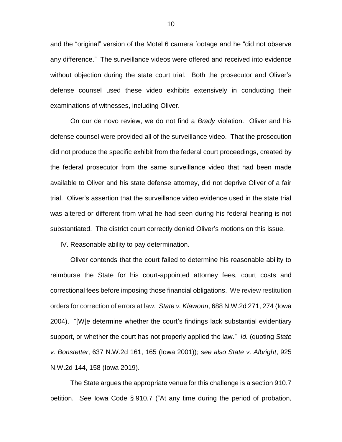and the "original" version of the Motel 6 camera footage and he "did not observe any difference." The surveillance videos were offered and received into evidence without objection during the state court trial. Both the prosecutor and Oliver's defense counsel used these video exhibits extensively in conducting their examinations of witnesses, including Oliver.

On our de novo review, we do not find a *Brady* violation. Oliver and his defense counsel were provided all of the surveillance video. That the prosecution did not produce the specific exhibit from the federal court proceedings, created by the federal prosecutor from the same surveillance video that had been made available to Oliver and his state defense attorney, did not deprive Oliver of a fair trial. Oliver's assertion that the surveillance video evidence used in the state trial was altered or different from what he had seen during his federal hearing is not substantiated. The district court correctly denied Oliver's motions on this issue.

IV. Reasonable ability to pay determination.

Oliver contends that the court failed to determine his reasonable ability to reimburse the State for his court-appointed attorney fees, court costs and correctional fees before imposing those financial obligations. We review restitution orders for correction of errors at law. *State v. Klawonn*, 688 N.W.2d 271, 274 (Iowa 2004). "[W]e determine whether the court's findings lack substantial evidentiary support, or whether the court has not properly applied the law." *Id.* (quoting *State v. Bonstetter*, 637 N.W.2d 161, 165 (Iowa 2001)); *see also State v. Albright*, 925 N.W.2d 144, 158 (Iowa 2019).

The State argues the appropriate venue for this challenge is a section 910.7 petition. *See* Iowa Code § 910.7 ("At any time during the period of probation,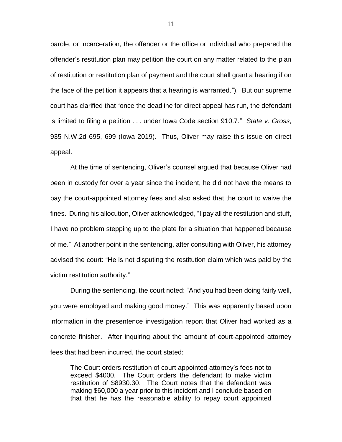parole, or incarceration, the offender or the office or individual who prepared the offender's restitution plan may petition the court on any matter related to the plan of restitution or restitution plan of payment and the court shall grant a hearing if on the face of the petition it appears that a hearing is warranted."). But our supreme court has clarified that "once the deadline for direct appeal has run, the defendant is limited to filing a petition . . . under Iowa Code section 910.7." *State v. Gross*, 935 N.W.2d 695, 699 (Iowa 2019). Thus, Oliver may raise this issue on direct appeal.

At the time of sentencing, Oliver's counsel argued that because Oliver had been in custody for over a year since the incident, he did not have the means to pay the court-appointed attorney fees and also asked that the court to waive the fines. During his allocution, Oliver acknowledged, "I pay all the restitution and stuff, I have no problem stepping up to the plate for a situation that happened because of me." At another point in the sentencing, after consulting with Oliver, his attorney advised the court: "He is not disputing the restitution claim which was paid by the victim restitution authority."

During the sentencing, the court noted: "And you had been doing fairly well, you were employed and making good money." This was apparently based upon information in the presentence investigation report that Oliver had worked as a concrete finisher. After inquiring about the amount of court-appointed attorney fees that had been incurred, the court stated:

The Court orders restitution of court appointed attorney's fees not to exceed \$4000. The Court orders the defendant to make victim restitution of \$8930.30. The Court notes that the defendant was making \$60,000 a year prior to this incident and I conclude based on that that he has the reasonable ability to repay court appointed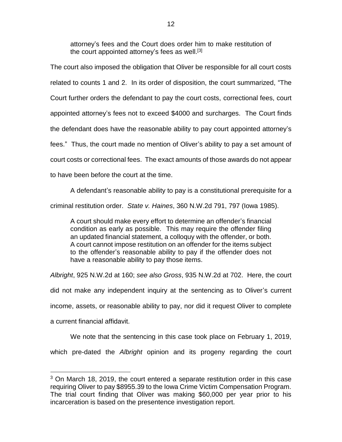attorney's fees and the Court does order him to make restitution of the court appointed attorney's fees as well.<sup>[3]</sup>

The court also imposed the obligation that Oliver be responsible for all court costs related to counts 1 and 2. In its order of disposition, the court summarized, "The Court further orders the defendant to pay the court costs, correctional fees, court appointed attorney's fees not to exceed \$4000 and surcharges. The Court finds the defendant does have the reasonable ability to pay court appointed attorney's fees." Thus, the court made no mention of Oliver's ability to pay a set amount of court costs or correctional fees. The exact amounts of those awards do not appear to have been before the court at the time.

A defendant's reasonable ability to pay is a constitutional prerequisite for a criminal restitution order. *State v. Haines*, 360 N.W.2d 791, 797 (Iowa 1985).

A court should make every effort to determine an offender's financial condition as early as possible. This may require the offender filing an updated financial statement, a colloquy with the offender, or both. A court cannot impose restitution on an offender for the items subject to the offender's reasonable ability to pay if the offender does not have a reasonable ability to pay those items.

*Albright*, 925 N.W.2d at 160; *see also Gross*, 935 N.W.2d at 702. Here, the court did not make any independent inquiry at the sentencing as to Oliver's current income, assets, or reasonable ability to pay, nor did it request Oliver to complete a current financial affidavit.

We note that the sentencing in this case took place on February 1, 2019,

which pre-dated the *Albright* opinion and its progeny regarding the court

 $\overline{a}$ 

 $3$  On March 18, 2019, the court entered a separate restitution order in this case requiring Oliver to pay \$8955.39 to the Iowa Crime Victim Compensation Program. The trial court finding that Oliver was making \$60,000 per year prior to his incarceration is based on the presentence investigation report.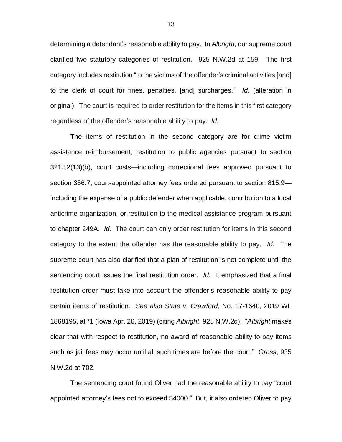determining a defendant's reasonable ability to pay. In *Albright*, our supreme court clarified two statutory categories of restitution. 925 N.W.2d at 159. The first category includes restitution "to the victims of the offender's criminal activities [and] to the clerk of court for fines, penalties, [and] surcharges." *Id.* (alteration in original). The court is required to order restitution for the items in this first category regardless of the offender's reasonable ability to pay. *Id.* 

The items of restitution in the second category are for crime victim assistance reimbursement, restitution to public agencies pursuant to section 321J.2(13)(b), court costs—including correctional fees approved pursuant to section 356.7, court-appointed attorney fees ordered pursuant to section 815.9 including the expense of a public defender when applicable, contribution to a local anticrime organization, or restitution to the medical assistance program pursuant to chapter 249A. *Id.* The court can only order restitution for items in this second category to the extent the offender has the reasonable ability to pay. *Id.* The supreme court has also clarified that a plan of restitution is not complete until the sentencing court issues the final restitution order. *Id*. It emphasized that a final restitution order must take into account the offender's reasonable ability to pay certain items of restitution. *See also State v. Crawford*, No. 17-1640, 2019 WL 1868195, at \*1 (Iowa Apr. 26, 2019) (citing *Albright*, 925 N.W.2d). "*Albright* makes clear that with respect to restitution, no award of reasonable-ability-to-pay items such as jail fees may occur until all such times are before the court." *Gross*, 935 N.W.2d at 702.

The sentencing court found Oliver had the reasonable ability to pay "court appointed attorney's fees not to exceed \$4000." But, it also ordered Oliver to pay